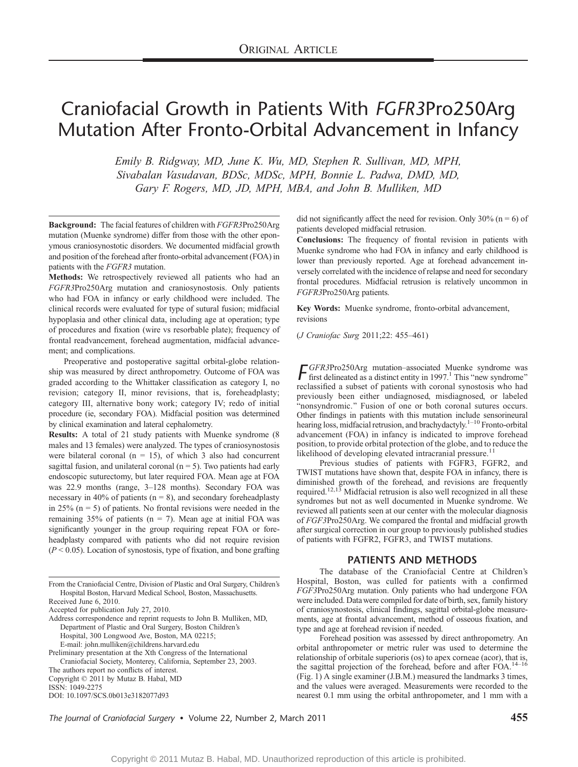# Craniofacial Growth in Patients With FGFR3Pro250Arg Mutation After Fronto-Orbital Advancement in Infancy

Emily B. Ridgway, MD, June K. Wu, MD, Stephen R. Sullivan, MD, MPH, Sivabalan Vasudavan, BDSc, MDSc, MPH, Bonnie L. Padwa, DMD, MD, Gary F. Rogers, MD, JD, MPH, MBA, and John B. Mulliken, MD

Background: The facial features of children with FGFR3Pro250Arg mutation (Muenke syndrome) differ from those with the other eponymous craniosynostotic disorders. We documented midfacial growth and position of the forehead after fronto-orbital advancement (FOA) in patients with the FGFR3 mutation.

Methods: We retrospectively reviewed all patients who had an FGFR3Pro250Arg mutation and craniosynostosis. Only patients who had FOA in infancy or early childhood were included. The clinical records were evaluated for type of sutural fusion; midfacial hypoplasia and other clinical data, including age at operation; type of procedures and fixation (wire vs resorbable plate); frequency of frontal readvancement, forehead augmentation, midfacial advancement; and complications.

Preoperative and postoperative sagittal orbital-globe relationship was measured by direct anthropometry. Outcome of FOA was graded according to the Whittaker classification as category I, no revision; category II, minor revisions, that is, foreheadplasty; category III, alternative bony work; category IV; redo of initial procedure (ie, secondary FOA). Midfacial position was determined by clinical examination and lateral cephalometry.

Results: A total of 21 study patients with Muenke syndrome (8 males and 13 females) were analyzed. The types of craniosynostosis were bilateral coronal ( $n = 15$ ), of which 3 also had concurrent sagittal fusion, and unilateral coronal ( $n = 5$ ). Two patients had early endoscopic suturectomy, but later required FOA. Mean age at FOA was 22.9 months (range, 3-128 months). Secondary FOA was necessary in 40% of patients ( $n = 8$ ), and secondary foreheadplasty in 25%  $(n = 5)$  of patients. No frontal revisions were needed in the remaining 35% of patients ( $n = 7$ ). Mean age at initial FOA was significantly younger in the group requiring repeat FOA or foreheadplasty compared with patients who did not require revision  $(P < 0.05)$ . Location of synostosis, type of fixation, and bone grafting did not significantly affect the need for revision. Only 30% ( $n = 6$ ) of patients developed midfacial retrusion.

Conclusions: The frequency of frontal revision in patients with Muenke syndrome who had FOA in infancy and early childhood is lower than previously reported. Age at forehead advancement inversely correlated with the incidence of relapse and need for secondary frontal procedures. Midfacial retrusion is relatively uncommon in FGFR3Pro250Arg patients.

Key Words: Muenke syndrome, fronto-orbital advancement, revisions

(J Craniofac Surg 2011;22: 455-461)

 $\int$  GFR3Pro250Arg mutation-associated Muenke syndrome was first delineated as a distinct entity in 1997.<sup>1</sup> This "new syndrome" reclassified a subset of patients with coronal synostosis who had previously been either undiagnosed, misdiagnosed, or labeled "nonsyndromic." Fusion of one or both coronal sutures occurs. Other findings in patients with this mutation include sensorineural hearing loss, midfacial retrusion, and brachydactyly.<sup> $1-10$ </sup> Fronto-orbital advancement (FOA) in infancy is indicated to improve forehead position, to provide orbital protection of the globe, and to reduce the likelihood of developing elevated intracranial pressure.<sup>11</sup>

Previous studies of patients with FGFR3, FGFR2, and TWIST mutations have shown that, despite FOA in infancy, there is diminished growth of the forehead, and revisions are frequently required.<sup>12,13</sup> Midfacial retrusion is also well recognized in all these syndromes but not as well documented in Muenke syndrome. We reviewed all patients seen at our center with the molecular diagnosis of FGF3Pro250Arg. We compared the frontal and midfacial growth after surgical correction in our group to previously published studies of patients with FGFR2, FGFR3, and TWIST mutations.

## PATIENTS AND METHODS

The database of the Craniofacial Centre at Children's Hospital, Boston, was culled for patients with a confirmed FGF3Pro250Arg mutation. Only patients who had undergone FOA were included. Data were compiled for date of birth, sex, family history of craniosynostosis, clinical findings, sagittal orbital-globe measurements, age at frontal advancement, method of osseous fixation, and type and age at forehead revision if needed.

Forehead position was assessed by direct anthropometry. An orbital anthropometer or metric ruler was used to determine the relationship of orbitale superioris (os) to apex corneae (acor), that is, the sagittal projection of the forehead, before and after  $FOA.<sup>14-16</sup>$ (Fig. 1) A single examiner (J.B.M.) measured the landmarks 3 times, and the values were averaged. Measurements were recorded to the nearest 0.1 mm using the orbital anthropometer, and 1 mm with a

The Journal of Craniofacial Surgery • Volume 22, Number 2, March 2011 455

From the Craniofacial Centre, Division of Plastic and Oral Surgery, Children's Hospital Boston, Harvard Medical School, Boston, Massachusetts. Received June 6, 2010.

Accepted for publication July 27, 2010.

Address correspondence and reprint requests to John B. Mulliken, MD, Department of Plastic and Oral Surgery, Boston Children's Hospital, 300 Longwood Ave, Boston, MA 02215; E-mail: john.mulliken@childrens.harvard.edu

Preliminary presentation at the Xth Congress of the International Craniofacial Society, Monterey, California, September 23, 2003.

The authors report no conflicts of interest.

Copyright  $©$  2011 by Mutaz B. Habal, MD

ISSN: 1049-2275

DOI: 10.1097/SCS.0b013e3182077d93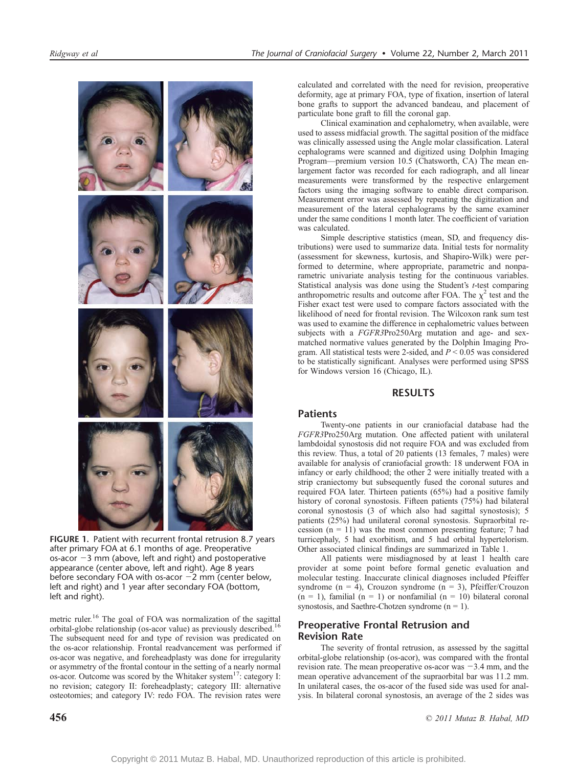

FIGURE 1. Patient with recurrent frontal retrusion 8.7 years after primary FOA at 6.1 months of age. Preoperative os-acor  $-3$  mm (above, left and right) and postoperative appearance (center above, left and right). Age 8 years before secondary FOA with os-acor  $-2$  mm (center below, left and right) and 1 year after secondary FOA (bottom, left and right).

metric ruler.<sup>16</sup> The goal of FOA was normalization of the sagittal orbital-globe relationship (os-acor value) as previously described.<sup>16</sup> The subsequent need for and type of revision was predicated on the os-acor relationship. Frontal readvancement was performed if os-acor was negative, and foreheadplasty was done for irregularity or asymmetry of the frontal contour in the setting of a nearly normal os-acor. Outcome was scored by the Whitaker system<sup>17</sup>: category I: no revision; category II: foreheadplasty; category III: alternative osteotomies; and category IV: redo FOA. The revision rates were

calculated and correlated with the need for revision, preoperative deformity, age at primary FOA, type of fixation, insertion of lateral bone grafts to support the advanced bandeau, and placement of particulate bone graft to fill the coronal gap.

Clinical examination and cephalometry, when available, were used to assess midfacial growth. The sagittal position of the midface was clinically assessed using the Angle molar classification. Lateral cephalograms were scanned and digitized using Dolphin Imaging Program—premium version 10.5 (Chatsworth, CA) The mean enlargement factor was recorded for each radiograph, and all linear measurements were transformed by the respective enlargement factors using the imaging software to enable direct comparison. Measurement error was assessed by repeating the digitization and measurement of the lateral cephalograms by the same examiner under the same conditions 1 month later. The coefficient of variation was calculated.

Simple descriptive statistics (mean, SD, and frequency distributions) were used to summarize data. Initial tests for normality (assessment for skewness, kurtosis, and Shapiro-Wilk) were performed to determine, where appropriate, parametric and nonparametric univariate analysis testing for the continuous variables. Statistical analysis was done using the Student's t-test comparing anthropometric results and outcome after FOA. The  $\chi^2$  test and the Fisher exact test were used to compare factors associated with the likelihood of need for frontal revision. The Wilcoxon rank sum test was used to examine the difference in cephalometric values between subjects with a FGFR3Pro250Arg mutation and age- and sexmatched normative values generated by the Dolphin Imaging Program. All statistical tests were 2-sided, and  $P \le 0.05$  was considered to be statistically significant. Analyses were performed using SPSS for Windows version 16 (Chicago, IL).

## RESULTS

### Patients

Twenty-one patients in our craniofacial database had the FGFR3Pro250Arg mutation. One affected patient with unilateral lambdoidal synostosis did not require FOA and was excluded from this review. Thus, a total of 20 patients (13 females, 7 males) were available for analysis of craniofacial growth: 18 underwent FOA in infancy or early childhood; the other 2 were initially treated with a strip craniectomy but subsequently fused the coronal sutures and required FOA later. Thirteen patients (65%) had a positive family history of coronal synostosis. Fifteen patients (75%) had bilateral coronal synostosis (3 of which also had sagittal synostosis); 5 patients (25%) had unilateral coronal synostosis. Supraorbital recession  $(n = 11)$  was the most common presenting feature; 7 had turricephaly, 5 had exorbitism, and 5 had orbital hypertelorism. Other associated clinical findings are summarized in Table 1.

All patients were misdiagnosed by at least 1 health care provider at some point before formal genetic evaluation and molecular testing. Inaccurate clinical diagnoses included Pfeiffer syndrome ( $n = 4$ ), Crouzon syndrome ( $n = 3$ ), Pfeiffer/Crouzon  $(n = 1)$ , familial  $(n = 1)$  or nonfamilial  $(n = 10)$  bilateral coronal synostosis, and Saethre-Chotzen syndrome  $(n = 1)$ .

# Preoperative Frontal Retrusion and Revision Rate

The severity of frontal retrusion, as assessed by the sagittal orbital-globe relationship (os-acor), was compared with the frontal revision rate. The mean preoperative os-acor was  $-3.4$  mm, and the mean operative advancement of the supraorbital bar was 11.2 mm. In unilateral cases, the os-acor of the fused side was used for analysis. In bilateral coronal synostosis, an average of the 2 sides was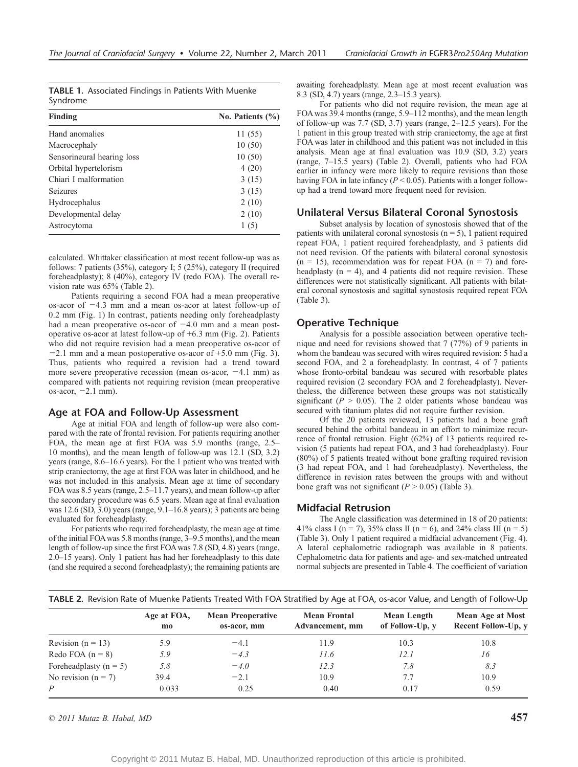|          | <b>TABLE 1.</b> Associated Findings in Patients With Muenke |  |  |
|----------|-------------------------------------------------------------|--|--|
| Syndrome |                                                             |  |  |

| Finding                    | No. Patients $(\% )$ |
|----------------------------|----------------------|
| Hand anomalies             | 11 (55)              |
| Macrocephaly               | 10(50)               |
| Sensorineural hearing loss | 10(50)               |
| Orbital hypertelorism      | 4(20)                |
| Chiari I malformation      | 3(15)                |
| <b>Seizures</b>            | 3(15)                |
| Hydrocephalus              | 2(10)                |
| Developmental delay        | 2(10)                |
| Astrocytoma                | 1(5)                 |

calculated. Whittaker classification at most recent follow-up was as follows: 7 patients (35%), category I; 5 (25%), category II (required foreheadplasty); 8 (40%), category IV (redo FOA). The overall revision rate was 65% (Table 2).

Patients requiring a second FOA had a mean preoperative os-acor of -4.3 mm and a mean os-acor at latest follow-up of 0.2 mm (Fig. 1) In contrast, patients needing only foreheadplasty had a mean preoperative os-acor of  $-4.0$  mm and a mean postoperative os-acor at latest follow-up of +6.3 mm (Fig. 2). Patients who did not require revision had a mean preoperative os-acor of  $-2.1$  mm and a mean postoperative os-acor of  $+5.0$  mm (Fig. 3). Thus, patients who required a revision had a trend toward more severe preoperative recession (mean os-acor,  $-4.1$  mm) as compared with patients not requiring revision (mean preoperative os-acor,  $-2.1$  mm).

#### Age at FOA and Follow-Up Assessment

Age at initial FOA and length of follow-up were also compared with the rate of frontal revision. For patients requiring another FOA, the mean age at first FOA was 5.9 months (range, 2.5-10 months), and the mean length of follow-up was 12.1 (SD, 3.2) years (range, 8.6–16.6 years). For the 1 patient who was treated with strip craniectomy, the age at first FOA was later in childhood, and he was not included in this analysis. Mean age at time of secondary FOA was 8.5 years (range,  $2.5-11.7$  years), and mean follow-up after the secondary procedure was 6.5 years. Mean age at final evaluation was  $12.6$  (SD,  $3.0$ ) years (range,  $9.1-16.8$  years); 3 patients are being evaluated for foreheadplasty.

For patients who required foreheadplasty, the mean age at time of the initial FOA was 5.8 months (range, 3–9.5 months), and the mean length of follow-up since the first FOA was 7.8 (SD, 4.8) years (range,  $2.0-15$  years). Only 1 patient has had her foreheadplasty to this date (and she required a second foreheadplasty); the remaining patients are awaiting foreheadplasty. Mean age at most recent evaluation was 8.3 (SD, 4.7) years (range, 2.3-15.3 years).

For patients who did not require revision, the mean age at FOA was 39.4 months (range, 5.9-112 months), and the mean length of follow-up was  $7.7$  (SD,  $3.7$ ) years (range,  $2-12.5$  years). For the 1 patient in this group treated with strip craniectomy, the age at first FOA was later in childhood and this patient was not included in this analysis. Mean age at final evaluation was 10.9 (SD, 3.2) years (range,  $7-15.5$  years) (Table 2). Overall, patients who had FOA earlier in infancy were more likely to require revisions than those having FOA in late infancy ( $P < 0.05$ ). Patients with a longer followup had a trend toward more frequent need for revision.

#### Unilateral Versus Bilateral Coronal Synostosis

Subset analysis by location of synostosis showed that of the patients with unilateral coronal synostosis  $(n = 5)$ , 1 patient required repeat FOA, 1 patient required foreheadplasty, and 3 patients did not need revision. Of the patients with bilateral coronal synostosis  $(n = 15)$ , recommendation was for repeat FOA  $(n = 7)$  and foreheadplasty  $(n = 4)$ , and 4 patients did not require revision. These differences were not statistically significant. All patients with bilateral coronal synostosis and sagittal synostosis required repeat FOA (Table 3).

#### Operative Technique

Analysis for a possible association between operative technique and need for revisions showed that 7 (77%) of 9 patients in whom the bandeau was secured with wires required revision: 5 had a second FOA, and 2 a foreheadplasty. In contrast, 4 of 7 patients whose fronto-orbital bandeau was secured with resorbable plates required revision (2 secondary FOA and 2 foreheadplasty). Nevertheless, the difference between these groups was not statistically significant ( $P > 0.05$ ). The 2 older patients whose bandeau was secured with titanium plates did not require further revision.

Of the 20 patients reviewed, 13 patients had a bone graft secured behind the orbital bandeau in an effort to minimize recurrence of frontal retrusion. Eight (62%) of 13 patients required revision (5 patients had repeat FOA, and 3 had foreheadplasty). Four (80%) of 5 patients treated without bone grafting required revision (3 had repeat FOA, and 1 had foreheadplasty). Nevertheless, the difference in revision rates between the groups with and without bone graft was not significant ( $P > 0.05$ ) (Table 3).

#### Midfacial Retrusion

The Angle classification was determined in 18 of 20 patients: 41% class I (n = 7), 35% class II (n = 6), and 24% class III (n = 5) (Table 3). Only 1 patient required a midfacial advancement (Fig. 4). A lateral cephalometric radiograph was available in 8 patients. Cephalometric data for patients and age- and sex-matched untreated normal subjects are presented in Table 4. The coefficient of variation

| <b>TABLE 2.</b> Revision Rate of Muenke Patients Treated With FOA Stratified by Age at FOA, os-acor Value, and Length of Follow-Up |                   |                                         |                                        |                                       |                                                       |
|------------------------------------------------------------------------------------------------------------------------------------|-------------------|-----------------------------------------|----------------------------------------|---------------------------------------|-------------------------------------------------------|
|                                                                                                                                    | Age at FOA.<br>mo | <b>Mean Preoperative</b><br>os-acor, mm | <b>Mean Frontal</b><br>Advancement, mm | <b>Mean Length</b><br>of Follow-Up, y | <b>Mean Age at Most</b><br><b>Recent Follow-Up, v</b> |
| Revision ( $n = 13$ )                                                                                                              | 5.9               | $-4.1$                                  | 11.9                                   | 10.3                                  | 10.8                                                  |
| Redo FOA $(n = 8)$                                                                                                                 | 5.9               | $-4.3$                                  | 11.6                                   | 12.1                                  | 16                                                    |
| Foreheadplasty $(n = 5)$                                                                                                           | 5.8               | $-4.0$                                  | 12.3                                   | 7.8                                   | 8.3                                                   |
| No revision $(n = 7)$                                                                                                              | 39.4              | $-2.1$                                  | 10.9                                   | 7.7                                   | 10.9                                                  |
| P                                                                                                                                  | 0.033             | 0.25                                    | 0.40                                   | 0.17                                  | 0.59                                                  |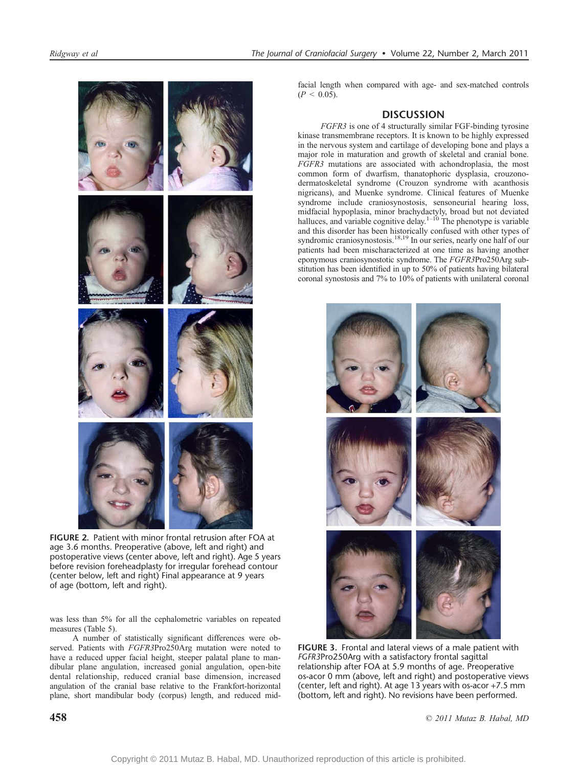

FIGURE 2. Patient with minor frontal retrusion after FOA at age 3.6 months. Preoperative (above, left and right) and postoperative views (center above, left and right). Age 5 years before revision foreheadplasty for irregular forehead contour (center below, left and right) Final appearance at 9 years of age (bottom, left and right).

was less than 5% for all the cephalometric variables on repeated measures (Table 5).

A number of statistically significant differences were observed. Patients with FGFR3Pro250Arg mutation were noted to have a reduced upper facial height, steeper palatal plane to mandibular plane angulation, increased gonial angulation, open-bite dental relationship, reduced cranial base dimension, increased angulation of the cranial base relative to the Frankfort-horizontal plane, short mandibular body (corpus) length, and reduced mid-

# **DISCUSSION**

FGFR3 is one of 4 structurally similar FGF-binding tyrosine kinase transmembrane receptors. It is known to be highly expressed in the nervous system and cartilage of developing bone and plays a major role in maturation and growth of skeletal and cranial bone. FGFR3 mutations are associated with achondroplasia, the most common form of dwarfism, thanatophoric dysplasia, crouzonodermatoskeletal syndrome (Crouzon syndrome with acanthosis nigricans), and Muenke syndrome. Clinical features of Muenke syndrome include craniosynostosis, sensoneurial hearing loss, midfacial hypoplasia, minor brachydactyly, broad but not deviated halluces, and variable cognitive delay.<sup>1-10</sup> The phenotype is variable and this disorder has been historically confused with other types of syndromic craniosynostosis.<sup>18,19</sup> In our series, nearly one half of our patients had been mischaracterized at one time as having another eponymous craniosynostotic syndrome. The FGFR3Pro250Arg substitution has been identified in up to 50% of patients having bilateral coronal synostosis and 7% to 10% of patients with unilateral coronal



FIGURE 3. Frontal and lateral views of a male patient with FGFR3Pro250Arg with a satisfactory frontal sagittal relationship after FOA at 5.9 months of age. Preoperative os-acor 0 mm (above, left and right) and postoperative views (center, left and right). At age 13 years with os-acor +7.5 mm (bottom, left and right). No revisions have been performed.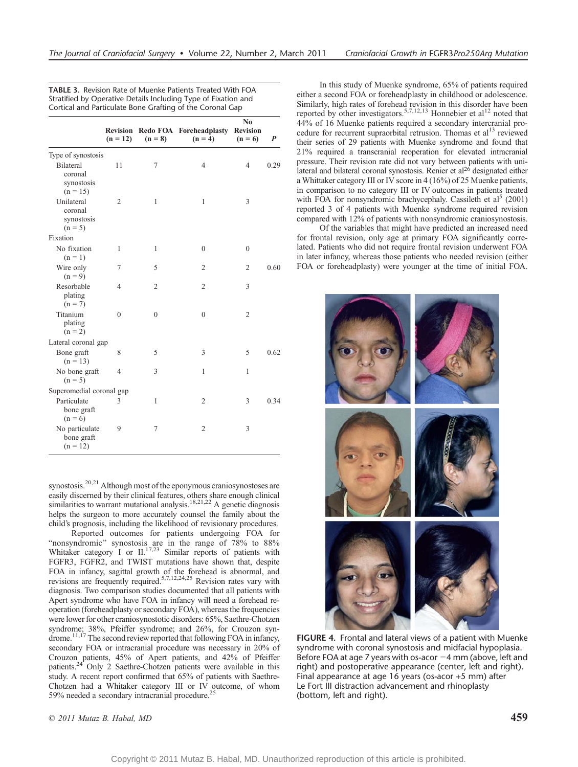TABLE 3. Revision Rate of Muenke Patients Treated With FOA Stratified by Operative Details Including Type of Fixation and

|                                                                 | $(n = 12)$     | $(n = 8)$      | Revision Redo FOA Foreheadplasty Revision<br>$(n = 4)$ | N <sub>0</sub><br>$(n = 6)$ | $\boldsymbol{P}$ |
|-----------------------------------------------------------------|----------------|----------------|--------------------------------------------------------|-----------------------------|------------------|
|                                                                 |                |                |                                                        |                             |                  |
| Type of synostosis<br><b>Bilateral</b><br>coronal<br>synostosis | 11             | 7              | 4                                                      | 4                           | 0.29             |
| $(n = 15)$<br>Unilateral<br>coronal<br>synostosis<br>$(n = 5)$  | 2              | $\mathbf{1}$   | $\mathbf{1}$                                           | 3                           |                  |
| Fixation                                                        |                |                |                                                        |                             |                  |
| No fixation<br>$(n = 1)$                                        | 1              | $\mathbf{1}$   | $\theta$                                               | $\theta$                    |                  |
| Wire only<br>$(n = 9)$                                          | 7              | 5              | $\mathfrak{2}$                                         | $\overline{2}$              | 0.60             |
| Resorbable<br>plating<br>$(n = 7)$                              | 4              | $\overline{2}$ | $\overline{2}$                                         | 3                           |                  |
| Titanium<br>plating<br>$(n = 2)$                                | $\mathbf{0}$   | $\theta$       | $\mathbf{0}$                                           | $\overline{2}$              |                  |
| Lateral coronal gap                                             |                |                |                                                        |                             |                  |
| Bone graft<br>$(n = 13)$                                        | 8              | 5              | 3                                                      | 5                           | 0.62             |
| No bone graft<br>$(n = 5)$                                      | $\overline{4}$ | 3              | 1                                                      | $\mathbf{1}$                |                  |
| Superomedial coronal gap                                        |                |                |                                                        |                             |                  |
| Particulate<br>bone graft<br>$(n = 6)$                          | 3              | $\mathbf{1}$   | $\mathfrak{2}$                                         | 3                           | 0.34             |
| No particulate<br>bone graft<br>$(n = 12)$                      | 9              | 7              | $\overline{2}$                                         | 3                           |                  |

synostosis.<sup>20,21</sup> Although most of the eponymous craniosynostoses are easily discerned by their clinical features, others share enough clinical similarities to warrant mutational analysis.<sup>18,21,22</sup> A genetic diagnosis helps the surgeon to more accurately counsel the family about the child's prognosis, including the likelihood of revisionary procedures.

Reported outcomes for patients undergoing FOA for "nonsyndromic" synostosis are in the range of 78% to 88% Whitaker category I or  $II^{17,23}$  Similar reports of patients with FGFR3, FGFR2, and TWIST mutations have shown that, despite FOA in infancy, sagittal growth of the forehead is abnormal, and revisions are frequently required.<sup>5,7,12,24,25</sup> Revision rates vary with diagnosis. Two comparison studies documented that all patients with Apert syndrome who have FOA in infancy will need a forehead reoperation (foreheadplasty or secondary FOA), whereas the frequencies were lower for other craniosynostotic disorders: 65%, Saethre-Chotzen syndrome; 38%, Pfeiffer syndrome; and 26%, for Crouzon syndrome.<sup>11,17</sup> The second review reported that following FOA in infancy, secondary FOA or intracranial procedure was necessary in 20% of Crouzon patients, 45% of Apert patients, and 42% of Pfeiffer patients.24 Only 2 Saethre-Chotzen patients were available in this study. A recent report confirmed that 65% of patients with Saethre-Chotzen had a Whitaker category III or IV outcome, of whom 59% needed a secondary intracranial procedure.<sup>2</sup>

In this study of Muenke syndrome, 65% of patients required either a second FOA or foreheadplasty in childhood or adolescence. Similarly, high rates of forehead revision in this disorder have been reported by other investigators.<sup>5,7,12,13</sup> Honnebier et al<sup>12</sup> noted that 44% of 16 Muenke patients required a secondary intercranial procedure for recurrent supraorbital retrusion. Thomas et al<sup>13</sup> reviewed their series of 29 patients with Muenke syndrome and found that 21% required a transcranial reoperation for elevated intracranial pressure. Their revision rate did not vary between patients with unilateral and bilateral coronal synostosis. Renier et al<sup>26</sup> designated either a Whittaker category III or IV score in 4 (16%) of 25 Muenke patients, in comparison to no category III or IV outcomes in patients treated with FOA for nonsyndromic brachycephaly. Cassileth et al<sup>5</sup> (2001) reported 3 of 4 patients with Muenke syndrome required revision compared with 12% of patients with nonsyndromic craniosynostosis.

Of the variables that might have predicted an increased need for frontal revision, only age at primary FOA significantly correlated. Patients who did not require frontal revision underwent FOA in later infancy, whereas those patients who needed revision (either FOA or foreheadplasty) were younger at the time of initial FOA.



FIGURE 4. Frontal and lateral views of a patient with Muenke syndrome with coronal synostosis and midfacial hypoplasia. Before FOA at age 7 years with os-acor  $-4$  mm (above, left and right) and postoperative appearance (center, left and right). Final appearance at age 16 years (os-acor +5 mm) after Le Fort III distraction advancement and rhinoplasty (bottom, left and right).

 $\odot$  2011 Mutaz B. Habal, MD 459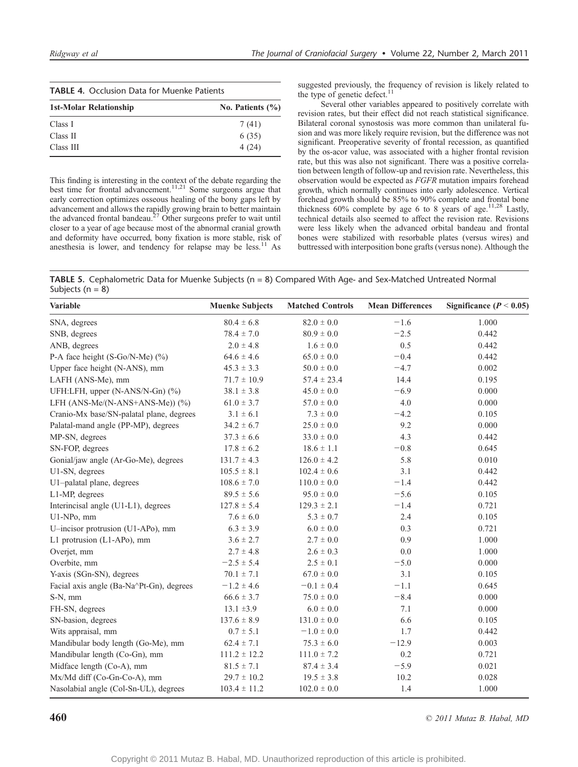| <b>TABLE 4.</b> Occlusion Data for Muenke Patients |                      |  |  |  |
|----------------------------------------------------|----------------------|--|--|--|
| 1st-Molar Relationship                             | No. Patients $(\% )$ |  |  |  |
| Class I                                            | 7(41)                |  |  |  |
| Class II                                           | 6(35)                |  |  |  |
| Class III                                          | 4(24)                |  |  |  |

This finding is interesting in the context of the debate regarding the best time for frontal advancement.<sup>11,21</sup> Some surgeons argue that early correction optimizes osseous healing of the bony gaps left by advancement and allows the rapidly growing brain to better maintain the advanced frontal bandeau.<sup>27</sup> Other surgeons prefer to wait until closer to a year of age because most of the abnormal cranial growth and deformity have occurred, bony fixation is more stable, risk of anesthesia is lower, and tendency for relapse may be less.<sup>11</sup> As

suggested previously, the frequency of revision is likely related to the type of genetic defect.<sup>11</sup>

Several other variables appeared to positively correlate with revision rates, but their effect did not reach statistical significance. Bilateral coronal synostosis was more common than unilateral fusion and was more likely require revision, but the difference was not significant. Preoperative severity of frontal recession, as quantified by the os-acor value, was associated with a higher frontal revision rate, but this was also not significant. There was a positive correlation between length of follow-up and revision rate. Nevertheless, this observation would be expected as FGFR mutation impairs forehead growth, which normally continues into early adolescence. Vertical forehead growth should be 85% to 90% complete and frontal bone thickness  $60\%$  complete by age 6 to 8 years of age.<sup>11,28</sup> Lastly, technical details also seemed to affect the revision rate. Revisions were less likely when the advanced orbital bandeau and frontal bones were stabilized with resorbable plates (versus wires) and buttressed with interposition bone grafts (versus none). Although the

TABLE 5. Cephalometric Data for Muenke Subjects (n = 8) Compared With Age- and Sex-Matched Untreated Normal Subjects ( $n = 8$ )

| <b>Variable</b>                          | <b>Muenke Subjects</b> | <b>Matched Controls</b> | <b>Mean Differences</b> | Significance ( $P < 0.05$ ) |
|------------------------------------------|------------------------|-------------------------|-------------------------|-----------------------------|
| SNA, degrees                             | $80.4 \pm 6.8$         | $82.0 \pm 0.0$          | $-1.6$                  | 1.000                       |
| SNB, degrees                             | $78.4 \pm 7.0$         | $80.9 \pm 0.0$          | $-2.5$                  | 0.442                       |
| ANB, degrees                             | $2.0 \pm 4.8$          | $1.6 \pm 0.0$           | 0.5                     | 0.442                       |
| P-A face height (S-Go/N-Me) (%)          | $64.6 \pm 4.6$         | $65.0\pm0.0$            | $-0.4$                  | 0.442                       |
| Upper face height (N-ANS), mm            | $45.3 \pm 3.3$         | $50.0 \pm 0.0$          | $-4.7$                  | 0.002                       |
| LAFH (ANS-Me), mm                        | $71.7 \pm 10.9$        | $57.4 \pm 23.4$         | 14.4                    | 0.195                       |
| UFH:LFH, upper (N-ANS/N-Gn) (%)          | $38.1 \pm 3.8$         | $45.0 \pm 0.0$          | $-6.9$                  | 0.000                       |
| LFH $(ANS-Me/(N-ANS+ANS-Me))$ $(\%)$     | $61.0 \pm 3.7$         | $57.0 \pm 0.0$          | 4.0                     | 0.000                       |
| Cranio-Mx base/SN-palatal plane, degrees | $3.1 \pm 6.1$          | $7.3 \pm 0.0$           | $-4.2$                  | 0.105                       |
| Palatal-mand angle (PP-MP), degrees      | $34.2 \pm 6.7$         | $25.0\pm0.0$            | 9.2                     | 0.000                       |
| MP-SN, degrees                           | $37.3 \pm 6.6$         | $33.0 \pm 0.0$          | 4.3                     | 0.442                       |
| SN-FOP, degrees                          | $17.8 \pm 6.2$         | $18.6 \pm 1.1$          | $-0.8$                  | 0.645                       |
| Gonial/jaw angle (Ar-Go-Me), degrees     | $131.7 \pm 4.3$        | $126.0 \pm 4.2$         | 5.8                     | 0.010                       |
| U1-SN, degrees                           | $105.5 \pm 8.1$        | $102.4 \pm 0.6$         | 3.1                     | 0.442                       |
| U1-palatal plane, degrees                | $108.6 \pm 7.0$        | $110.0 \pm 0.0$         | $-1.4$                  | 0.442                       |
| L1-MP, degrees                           | $89.5 \pm 5.6$         | $95.0\pm0.0$            | $-5.6$                  | 0.105                       |
| Interincisal angle (U1-L1), degrees      | $127.8 \pm 5.4$        | $129.3 \pm 2.1$         | $-1.4$                  | 0.721                       |
| U1-NPo, mm                               | $7.6 \pm 6.0$          | $5.3 \pm 0.7$           | 2.4                     | 0.105                       |
| U-incisor protrusion (U1-APo), mm        | $6.3 \pm 3.9$          | $6.0 \pm 0.0$           | 0.3                     | 0.721                       |
| L1 protrusion (L1-APo), mm               | $3.6 \pm 2.7$          | $2.7 \pm 0.0$           | 0.9                     | 1.000                       |
| Overjet, mm                              | $2.7 \pm 4.8$          | $2.6 \pm 0.3$           | 0.0                     | 1.000                       |
| Overbite, mm                             | $-2.5 \pm 5.4$         | $2.5 \pm 0.1$           | $-5.0$                  | 0.000                       |
| Y-axis (SGn-SN), degrees                 | $70.1 \pm 7.1$         | $67.0 \pm 0.0$          | 3.1                     | 0.105                       |
| Facial axis angle (Ba-Na^Pt-Gn), degrees | $-1.2 \pm 4.6$         | $-0.1\pm0.4$            | $-1.1$                  | 0.645                       |
| S-N, mm                                  | $66.6 \pm 3.7$         | $75.0 \pm 0.0$          | $-8.4$                  | 0.000                       |
| FH-SN, degrees                           | $13.1 \pm 3.9$         | $6.0 \pm 0.0$           | 7.1                     | 0.000                       |
| SN-basion, degrees                       | $137.6 \pm 8.9$        | $131.0 \pm 0.0$         | 6.6                     | 0.105                       |
| Wits appraisal, mm                       | $0.7 \pm 5.1$          | $-1.0 \pm 0.0$          | 1.7                     | 0.442                       |
| Mandibular body length (Go-Me), mm       | $62.4 \pm 7.1$         | $75.3 \pm 6.0$          | $-12.9$                 | 0.003                       |
| Mandibular length (Co-Gn), mm            | $111.2 \pm 12.2$       | $111.0 \pm 7.2$         | 0.2                     | 0.721                       |
| Midface length (Co-A), mm                | $81.5 \pm 7.1$         | $87.4 \pm 3.4$          | $-5.9$                  | 0.021                       |
| Mx/Md diff (Co-Gn-Co-A), mm              | $29.7 \pm 10.2$        | $19.5 \pm 3.8$          | 10.2                    | 0.028                       |
| Nasolabial angle (Col-Sn-UL), degrees    | $103.4 \pm 11.2$       | $102.0 \pm 0.0$         | 1.4                     | 1.000                       |